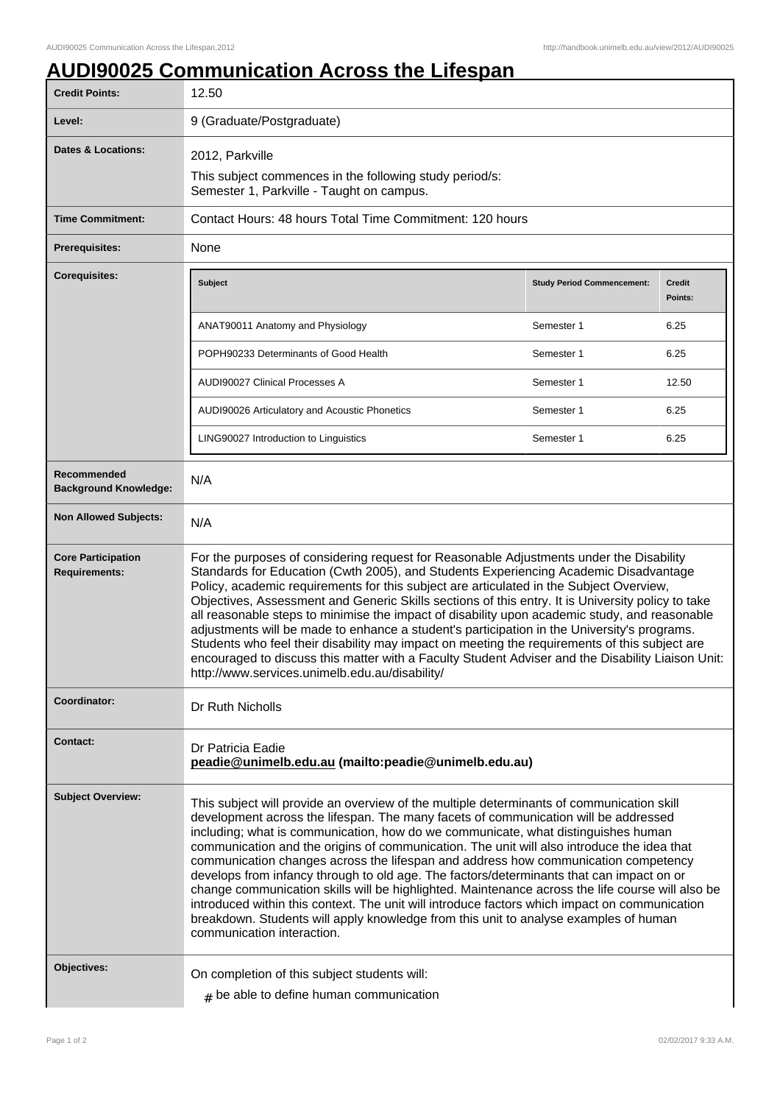## **AUDI90025 Communication Across the Lifespan**

| <b>Credit Points:</b>                             | 12.50                                                                                                                                                                                                                                                                                                                                                                                                                                                                                                                                                                                                                                                                                                                                                                                                                                                                            |                                   |                          |
|---------------------------------------------------|----------------------------------------------------------------------------------------------------------------------------------------------------------------------------------------------------------------------------------------------------------------------------------------------------------------------------------------------------------------------------------------------------------------------------------------------------------------------------------------------------------------------------------------------------------------------------------------------------------------------------------------------------------------------------------------------------------------------------------------------------------------------------------------------------------------------------------------------------------------------------------|-----------------------------------|--------------------------|
| Level:                                            | 9 (Graduate/Postgraduate)                                                                                                                                                                                                                                                                                                                                                                                                                                                                                                                                                                                                                                                                                                                                                                                                                                                        |                                   |                          |
| <b>Dates &amp; Locations:</b>                     | 2012, Parkville<br>This subject commences in the following study period/s:<br>Semester 1, Parkville - Taught on campus.                                                                                                                                                                                                                                                                                                                                                                                                                                                                                                                                                                                                                                                                                                                                                          |                                   |                          |
| <b>Time Commitment:</b>                           | Contact Hours: 48 hours Total Time Commitment: 120 hours                                                                                                                                                                                                                                                                                                                                                                                                                                                                                                                                                                                                                                                                                                                                                                                                                         |                                   |                          |
| Prerequisites:                                    | None                                                                                                                                                                                                                                                                                                                                                                                                                                                                                                                                                                                                                                                                                                                                                                                                                                                                             |                                   |                          |
| <b>Corequisites:</b>                              | Subject                                                                                                                                                                                                                                                                                                                                                                                                                                                                                                                                                                                                                                                                                                                                                                                                                                                                          | <b>Study Period Commencement:</b> | <b>Credit</b><br>Points: |
|                                                   | ANAT90011 Anatomy and Physiology                                                                                                                                                                                                                                                                                                                                                                                                                                                                                                                                                                                                                                                                                                                                                                                                                                                 | Semester 1                        | 6.25                     |
|                                                   | POPH90233 Determinants of Good Health                                                                                                                                                                                                                                                                                                                                                                                                                                                                                                                                                                                                                                                                                                                                                                                                                                            | Semester 1                        | 6.25                     |
|                                                   | AUDI90027 Clinical Processes A                                                                                                                                                                                                                                                                                                                                                                                                                                                                                                                                                                                                                                                                                                                                                                                                                                                   | Semester 1                        | 12.50                    |
|                                                   | AUDI90026 Articulatory and Acoustic Phonetics                                                                                                                                                                                                                                                                                                                                                                                                                                                                                                                                                                                                                                                                                                                                                                                                                                    | Semester 1                        | 6.25                     |
|                                                   | LING90027 Introduction to Linguistics                                                                                                                                                                                                                                                                                                                                                                                                                                                                                                                                                                                                                                                                                                                                                                                                                                            | Semester 1                        | 6.25                     |
| Recommended<br><b>Background Knowledge:</b>       | N/A                                                                                                                                                                                                                                                                                                                                                                                                                                                                                                                                                                                                                                                                                                                                                                                                                                                                              |                                   |                          |
| <b>Non Allowed Subjects:</b>                      | N/A                                                                                                                                                                                                                                                                                                                                                                                                                                                                                                                                                                                                                                                                                                                                                                                                                                                                              |                                   |                          |
| <b>Core Participation</b><br><b>Requirements:</b> | For the purposes of considering request for Reasonable Adjustments under the Disability<br>Standards for Education (Cwth 2005), and Students Experiencing Academic Disadvantage<br>Policy, academic requirements for this subject are articulated in the Subject Overview,<br>Objectives, Assessment and Generic Skills sections of this entry. It is University policy to take<br>all reasonable steps to minimise the impact of disability upon academic study, and reasonable<br>adjustments will be made to enhance a student's participation in the University's programs.<br>Students who feel their disability may impact on meeting the requirements of this subject are<br>encouraged to discuss this matter with a Faculty Student Adviser and the Disability Liaison Unit:<br>http://www.services.unimelb.edu.au/disability/                                          |                                   |                          |
| Coordinator:                                      | Dr Ruth Nicholls                                                                                                                                                                                                                                                                                                                                                                                                                                                                                                                                                                                                                                                                                                                                                                                                                                                                 |                                   |                          |
| <b>Contact:</b>                                   | Dr Patricia Eadie<br>peadie@unimelb.edu.au (mailto:peadie@unimelb.edu.au)                                                                                                                                                                                                                                                                                                                                                                                                                                                                                                                                                                                                                                                                                                                                                                                                        |                                   |                          |
| <b>Subject Overview:</b>                          | This subject will provide an overview of the multiple determinants of communication skill<br>development across the lifespan. The many facets of communication will be addressed<br>including; what is communication, how do we communicate, what distinguishes human<br>communication and the origins of communication. The unit will also introduce the idea that<br>communication changes across the lifespan and address how communication competency<br>develops from infancy through to old age. The factors/determinants that can impact on or<br>change communication skills will be highlighted. Maintenance across the life course will also be<br>introduced within this context. The unit will introduce factors which impact on communication<br>breakdown. Students will apply knowledge from this unit to analyse examples of human<br>communication interaction. |                                   |                          |
| Objectives:                                       | On completion of this subject students will:<br>$#$ be able to define human communication                                                                                                                                                                                                                                                                                                                                                                                                                                                                                                                                                                                                                                                                                                                                                                                        |                                   |                          |